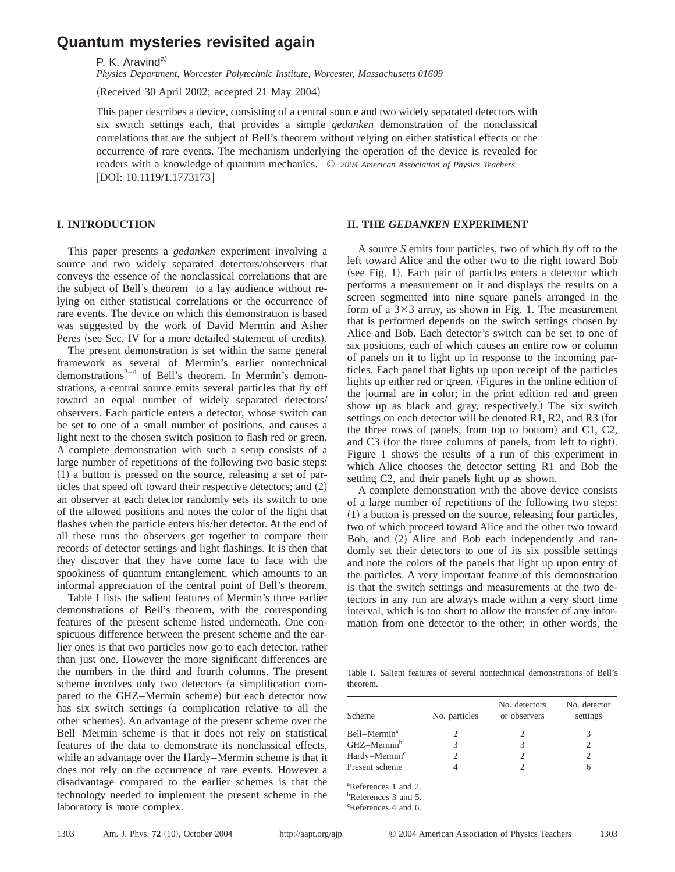# **Quantum mysteries revisited again**

P. K. Aravind<sup>a)</sup>

*Physics Department, Worcester Polytechnic Institute, Worcester, Massachusetts 01609*

 $(Received 30 April 2002; accepted 21 May 2004)$ 

This paper describes a device, consisting of a central source and two widely separated detectors with six switch settings each, that provides a simple *gedanken* demonstration of the nonclassical correlations that are the subject of Bell's theorem without relying on either statistical effects or the occurrence of rare events. The mechanism underlying the operation of the device is revealed for readers with a knowledge of quantum mechanics. © *2004 American Association of Physics Teachers.* [DOI: 10.1119/1.1773173]

# **I. INTRODUCTION**

This paper presents a *gedanken* experiment involving a source and two widely separated detectors/observers that conveys the essence of the nonclassical correlations that are the subject of Bell's theorem<sup>1</sup> to a lay audience without relying on either statistical correlations or the occurrence of rare events. The device on which this demonstration is based was suggested by the work of David Mermin and Asher Peres (see Sec. IV for a more detailed statement of credits).

The present demonstration is set within the same general framework as several of Mermin's earlier nontechnical demonstrations<sup>2-4</sup> of Bell's theorem. In Mermin's demonstrations, a central source emits several particles that fly off toward an equal number of widely separated detectors/ observers. Each particle enters a detector, whose switch can be set to one of a small number of positions, and causes a light next to the chosen switch position to flash red or green. A complete demonstration with such a setup consists of a large number of repetitions of the following two basic steps:  $(1)$  a button is pressed on the source, releasing a set of particles that speed off toward their respective detectors; and  $(2)$ an observer at each detector randomly sets its switch to one of the allowed positions and notes the color of the light that flashes when the particle enters his/her detector. At the end of all these runs the observers get together to compare their records of detector settings and light flashings. It is then that they discover that they have come face to face with the spookiness of quantum entanglement, which amounts to an informal appreciation of the central point of Bell's theorem.

Table I lists the salient features of Mermin's three earlier demonstrations of Bell's theorem, with the corresponding features of the present scheme listed underneath. One conspicuous difference between the present scheme and the earlier ones is that two particles now go to each detector, rather than just one. However the more significant differences are the numbers in the third and fourth columns. The present scheme involves only two detectors (a simplification compared to the GHZ–Mermin scheme) but each detector now has six switch settings (a complication relative to all the other schemes). An advantage of the present scheme over the Bell–Mermin scheme is that it does not rely on statistical features of the data to demonstrate its nonclassical effects, while an advantage over the Hardy–Mermin scheme is that it does not rely on the occurrence of rare events. However a disadvantage compared to the earlier schemes is that the technology needed to implement the present scheme in the laboratory is more complex.

# **II. THE** *GEDANKEN* **EXPERIMENT**

A source *S* emits four particles, two of which fly off to the left toward Alice and the other two to the right toward Bob (see Fig. 1). Each pair of particles enters a detector which performs a measurement on it and displays the results on a screen segmented into nine square panels arranged in the form of a  $3\times3$  array, as shown in Fig. 1. The measurement that is performed depends on the switch settings chosen by Alice and Bob. Each detector's switch can be set to one of six positions, each of which causes an entire row or column of panels on it to light up in response to the incoming particles. Each panel that lights up upon receipt of the particles lights up either red or green. (Figures in the online edition of the journal are in color; in the print edition red and green show up as black and gray, respectively.) The six switch settings on each detector will be denoted  $R1$ ,  $R2$ , and  $R3$  (for the three rows of panels, from top to bottom) and C1, C2, and C3 (for the three columns of panels, from left to right). Figure 1 shows the results of a run of this experiment in which Alice chooses the detector setting R1 and Bob the setting C2, and their panels light up as shown.

A complete demonstration with the above device consists of a large number of repetitions of the following two steps:  $(1)$  a button is pressed on the source, releasing four particles, two of which proceed toward Alice and the other two toward Bob, and (2) Alice and Bob each independently and randomly set their detectors to one of its six possible settings and note the colors of the panels that light up upon entry of the particles. A very important feature of this demonstration is that the switch settings and measurements at the two detectors in any run are always made within a very short time interval, which is too short to allow the transfer of any information from one detector to the other; in other words, the

Table I. Salient features of several nontechnical demonstrations of Bell's theorem.

| Scheme                    | No. particles | No. detectors<br>or observers | No. detector<br>settings |
|---------------------------|---------------|-------------------------------|--------------------------|
| Bell-Mermin <sup>a</sup>  |               |                               |                          |
| $GHZ-Merminb$             |               |                               |                          |
| Hardy-Mermin <sup>c</sup> |               |                               |                          |
| Present scheme            |               |                               |                          |

a References 1 and 2.

<sup>b</sup>References 3 and 5.

c References 4 and 6.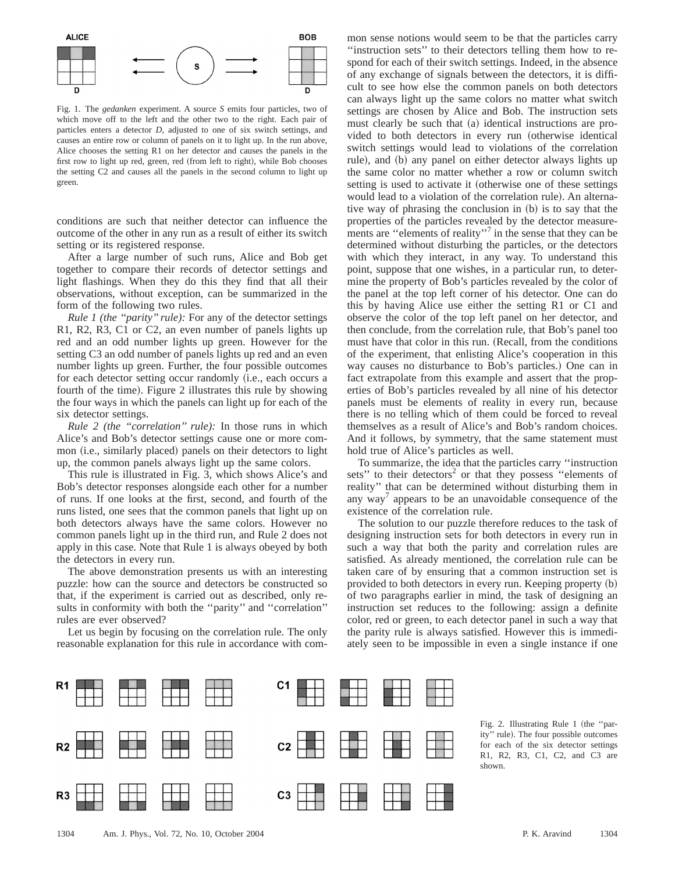

Fig. 1. The *gedanken* experiment. A source *S* emits four particles, two of which move off to the left and the other two to the right. Each pair of particles enters a detector *D*, adjusted to one of six switch settings, and causes an entire row or column of panels on it to light up. In the run above, Alice chooses the setting R1 on her detector and causes the panels in the first row to light up red, green, red (from left to right), while Bob chooses the setting C2 and causes all the panels in the second column to light up green.

conditions are such that neither detector can influence the outcome of the other in any run as a result of either its switch setting or its registered response.

After a large number of such runs, Alice and Bob get together to compare their records of detector settings and light flashings. When they do this they find that all their observations, without exception, can be summarized in the form of the following two rules.

*Rule 1 (the ''parity'' rule):* For any of the detector settings R1, R2, R3, C1 or C2, an even number of panels lights up red and an odd number lights up green. However for the setting C3 an odd number of panels lights up red and an even number lights up green. Further, the four possible outcomes for each detector setting occur randomly (i.e., each occurs a fourth of the time). Figure 2 illustrates this rule by showing the four ways in which the panels can light up for each of the six detector settings.

*Rule 2 (the ''correlation'' rule):* In those runs in which Alice's and Bob's detector settings cause one or more common (i.e., similarly placed) panels on their detectors to light up, the common panels always light up the same colors.

This rule is illustrated in Fig. 3, which shows Alice's and Bob's detector responses alongside each other for a number of runs. If one looks at the first, second, and fourth of the runs listed, one sees that the common panels that light up on both detectors always have the same colors. However no common panels light up in the third run, and Rule 2 does not apply in this case. Note that Rule 1 is always obeyed by both the detectors in every run.

The above demonstration presents us with an interesting puzzle: how can the source and detectors be constructed so that, if the experiment is carried out as described, only results in conformity with both the ''parity'' and ''correlation'' rules are ever observed?

Let us begin by focusing on the correlation rule. The only reasonable explanation for this rule in accordance with common sense notions would seem to be that the particles carry ''instruction sets'' to their detectors telling them how to respond for each of their switch settings. Indeed, in the absence of any exchange of signals between the detectors, it is difficult to see how else the common panels on both detectors can always light up the same colors no matter what switch settings are chosen by Alice and Bob. The instruction sets must clearly be such that (a) identical instructions are provided to both detectors in every run (otherwise identical switch settings would lead to violations of the correlation rule), and (b) any panel on either detector always lights up the same color no matter whether a row or column switch setting is used to activate it (otherwise one of these settings would lead to a violation of the correlation rule). An alternative way of phrasing the conclusion in  $(b)$  is to say that the properties of the particles revealed by the detector measurements are "elements of reality"<sup>7</sup> in the sense that they can be determined without disturbing the particles, or the detectors with which they interact, in any way. To understand this point, suppose that one wishes, in a particular run, to determine the property of Bob's particles revealed by the color of the panel at the top left corner of his detector. One can do this by having Alice use either the setting R1 or C1 and observe the color of the top left panel on her detector, and then conclude, from the correlation rule, that Bob's panel too must have that color in this run. (Recall, from the conditions of the experiment, that enlisting Alice's cooperation in this way causes no disturbance to Bob's particles.) One can in fact extrapolate from this example and assert that the properties of Bob's particles revealed by all nine of his detector panels must be elements of reality in every run, because there is no telling which of them could be forced to reveal themselves as a result of Alice's and Bob's random choices. And it follows, by symmetry, that the same statement must hold true of Alice's particles as well.

To summarize, the idea that the particles carry ''instruction sets" to their detectors<sup>2</sup> or that they possess "elements of reality'' that can be determined without disturbing them in any way<sup> $\prime$ </sup> appears to be an unavoidable consequence of the existence of the correlation rule.

The solution to our puzzle therefore reduces to the task of designing instruction sets for both detectors in every run in such a way that both the parity and correlation rules are satisfied. As already mentioned, the correlation rule can be taken care of by ensuring that a common instruction set is provided to both detectors in every run. Keeping property  $(b)$ of two paragraphs earlier in mind, the task of designing an instruction set reduces to the following: assign a definite color, red or green, to each detector panel in such a way that the parity rule is always satisfied. However this is immediately seen to be impossible in even a single instance if one



Fig. 2. Illustrating Rule 1 (the "parity" rule). The four possible outcomes for each of the six detector settings R1, R2, R3, C1, C2, and C3 are shown.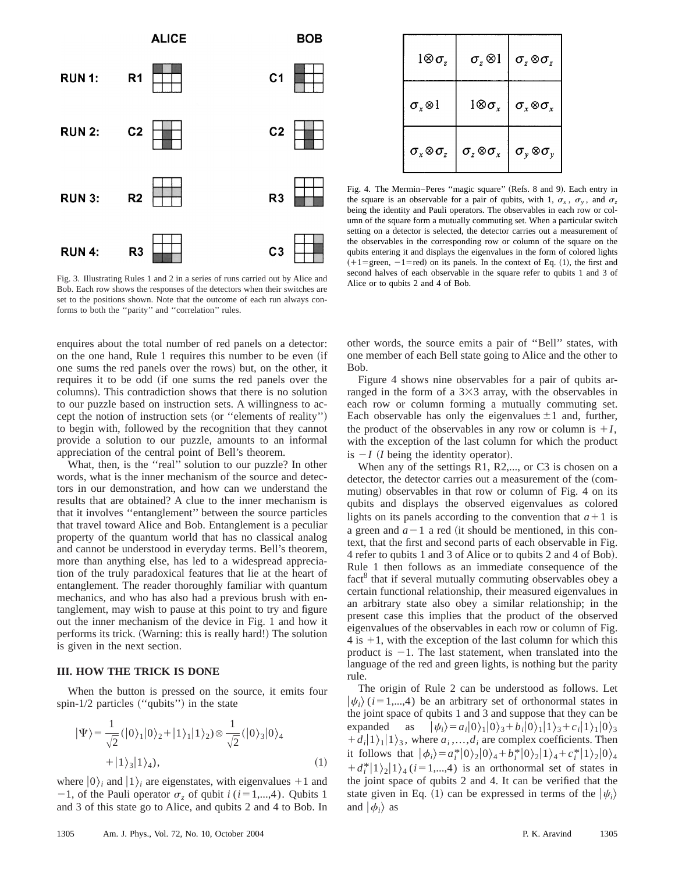

Fig. 3. Illustrating Rules 1 and 2 in a series of runs carried out by Alice and Bob. Each row shows the responses of the detectors when their switches are set to the positions shown. Note that the outcome of each run always conforms to both the ''parity'' and ''correlation'' rules.

enquires about the total number of red panels on a detector: on the one hand, Rule 1 requires this number to be even (if one sums the red panels over the rows) but, on the other, it requires it to be odd (if one sums the red panels over the columns). This contradiction shows that there is no solution to our puzzle based on instruction sets. A willingness to accept the notion of instruction sets (or "elements of reality") to begin with, followed by the recognition that they cannot provide a solution to our puzzle, amounts to an informal appreciation of the central point of Bell's theorem.

What, then, is the "real" solution to our puzzle? In other words, what is the inner mechanism of the source and detectors in our demonstration, and how can we understand the results that are obtained? A clue to the inner mechanism is that it involves ''entanglement'' between the source particles that travel toward Alice and Bob. Entanglement is a peculiar property of the quantum world that has no classical analog and cannot be understood in everyday terms. Bell's theorem, more than anything else, has led to a widespread appreciation of the truly paradoxical features that lie at the heart of entanglement. The reader thoroughly familiar with quantum mechanics, and who has also had a previous brush with entanglement, may wish to pause at this point to try and figure out the inner mechanism of the device in Fig. 1 and how it performs its trick. (Warning: this is really hard!) The solution is given in the next section.

## **III. HOW THE TRICK IS DONE**

When the button is pressed on the source, it emits four spin- $1/2$  particles ("qubits") in the state

$$
|\Psi\rangle = \frac{1}{\sqrt{2}} (|0\rangle_1 |0\rangle_2 + |1\rangle_1 |1\rangle_2) \otimes \frac{1}{\sqrt{2}} (|0\rangle_3 |0\rangle_4 + |1\rangle_3 |1\rangle_4),
$$
\n(1)

where  $|0\rangle$ <sub>*i*</sub> and  $|1\rangle$ <sub>*i*</sub> are eigenstates, with eigenvalues +1 and  $-1$ , of the Pauli operator  $\sigma_z$  of qubit *i* (*i* = 1,...,4). Qubits 1 and 3 of this state go to Alice, and qubits 2 and 4 to Bob. In

| $1\otimes \sigma_z$                         | $\sigma_z^{\vphantom{\dagger}}\otimes 1$ | $\sigma_z \otimes \sigma_z$               |
|---------------------------------------------|------------------------------------------|-------------------------------------------|
| $\sigma_{\rm x}$ $\otimes$ 1                | $1 \otimes \sigma_{x}$                   | $\sigma_{\rm x}$ $\otimes \sigma_{\rm x}$ |
| $\sigma_{\rm x}$ $\otimes$ $\sigma_{\rm z}$ | $\sigma_z \otimes \sigma_x$              | $\sigma_y\!\otimes\!\sigma_y$             |

Fig. 4. The Mermin–Peres "magic square" (Refs. 8 and 9). Each entry in the square is an observable for a pair of qubits, with 1,  $\sigma_x$ ,  $\sigma_y$ , and  $\sigma_z$ being the identity and Pauli operators. The observables in each row or column of the square form a mutually commuting set. When a particular switch setting on a detector is selected, the detector carries out a measurement of the observables in the corresponding row or column of the square on the qubits entering it and displays the eigenvalues in the form of colored lights  $(+1)$ =green, -1=red) on its panels. In the context of Eq. (1), the first and second halves of each observable in the square refer to qubits 1 and 3 of Alice or to qubits 2 and 4 of Bob.

other words, the source emits a pair of ''Bell'' states, with one member of each Bell state going to Alice and the other to Bob.

Figure 4 shows nine observables for a pair of qubits arranged in the form of a  $3\times3$  array, with the observables in each row or column forming a mutually commuting set. Each observable has only the eigenvalues  $\pm 1$  and, further, the product of the observables in any row or column is  $+I$ , with the exception of the last column for which the product is  $-I$  (*I* being the identity operator).

When any of the settings  $R1, R2,...$ , or C3 is chosen on a detector, the detector carries out a measurement of the (commuting) observables in that row or column of Fig. 4 on its qubits and displays the observed eigenvalues as colored lights on its panels according to the convention that  $a+1$  is a green and  $a-1$  a red (it should be mentioned, in this context, that the first and second parts of each observable in Fig. 4 refer to qubits 1 and 3 of Alice or to qubits 2 and 4 of Bob!. Rule 1 then follows as an immediate consequence of the fact<sup>8</sup> that if several mutually commuting observables obey a certain functional relationship, their measured eigenvalues in an arbitrary state also obey a similar relationship; in the present case this implies that the product of the observed eigenvalues of the observables in each row or column of Fig.  $4$  is  $+1$ , with the exception of the last column for which this product is  $-1$ . The last statement, when translated into the language of the red and green lights, is nothing but the parity rule.

The origin of Rule 2 can be understood as follows. Let  $|\psi_i\rangle$  (*i*=1,...,4) be an arbitrary set of orthonormal states in the joint space of qubits 1 and 3 and suppose that they can be expanded as  $|\psi_i\rangle = a_i|0\rangle_1|0\rangle_3 + b_i|0\rangle_1|1\rangle_3 + c_i|1\rangle_1|0\rangle_3$  $+d_i|1\rangle_1|1\rangle_3$ , where  $a_i, ..., d_i$  are complex coefficients. Then it follows that  $|\phi_i\rangle = a_i^*|0\rangle_2|0\rangle_4 + b_i^*|0\rangle_2|1\rangle_4 + c_i^*|1\rangle_2|0\rangle_4$  $+d_i^*$ |1 $\rangle_2$ |1 $\rangle_4$  (*i* = 1,...,4) is an orthonormal set of states in the joint space of qubits 2 and 4. It can be verified that the state given in Eq. (1) can be expressed in terms of the  $|\psi_i\rangle$ and  $|\phi_i\rangle$  as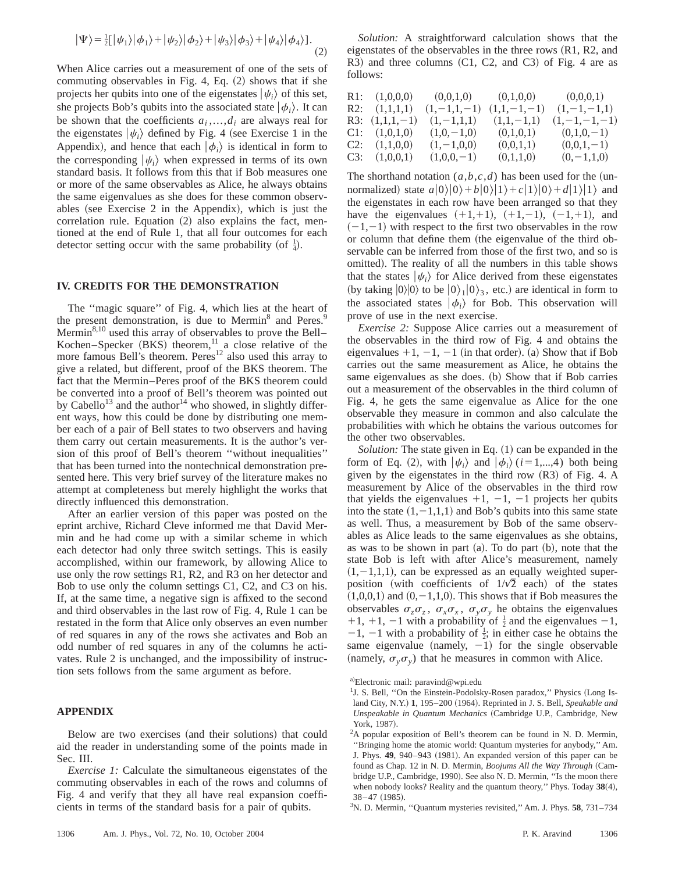$$
|\Psi\rangle = \frac{1}{2} [|\psi_1\rangle |\phi_1\rangle + |\psi_2\rangle |\phi_2\rangle + |\psi_3\rangle |\phi_3\rangle + |\psi_4\rangle |\phi_4\rangle]. \tag{2}
$$

When Alice carries out a measurement of one of the sets of commuting observables in Fig. 4, Eq.  $(2)$  shows that if she projects her qubits into one of the eigenstates  $|\psi_i\rangle$  of this set, she projects Bob's qubits into the associated state  $|\phi_i\rangle$ . It can be shown that the coefficients  $a_i, \ldots, d_i$  are always real for the eigenstates  $|\psi_i\rangle$  defined by Fig. 4 (see Exercise 1 in the Appendix), and hence that each  $|\phi_i\rangle$  is identical in form to the corresponding  $|\psi_i\rangle$  when expressed in terms of its own standard basis. It follows from this that if Bob measures one or more of the same observables as Alice, he always obtains the same eigenvalues as she does for these common observables (see Exercise 2 in the Appendix), which is just the correlation rule. Equation  $(2)$  also explains the fact, mentioned at the end of Rule 1, that all four outcomes for each detector setting occur with the same probability (of  $\frac{1}{4}$ ).

### **IV. CREDITS FOR THE DEMONSTRATION**

The ''magic square'' of Fig. 4, which lies at the heart of the present demonstration, is due to Mermin<sup>8</sup> and Peres.<sup>9</sup> Mermin<sup>8,10</sup> used this array of observables to prove the Bell– Kochen–Specker  $(BKS)$  theorem,<sup>11</sup> a close relative of the more famous Bell's theorem. Peres<sup>12</sup> also used this array to give a related, but different, proof of the BKS theorem. The fact that the Mermin–Peres proof of the BKS theorem could be converted into a proof of Bell's theorem was pointed out by Cabello<sup>13</sup> and the author<sup>14</sup> who showed, in slightly different ways, how this could be done by distributing one member each of a pair of Bell states to two observers and having them carry out certain measurements. It is the author's version of this proof of Bell's theorem ''without inequalities'' that has been turned into the nontechnical demonstration presented here. This very brief survey of the literature makes no attempt at completeness but merely highlight the works that directly influenced this demonstration.

After an earlier version of this paper was posted on the eprint archive, Richard Cleve informed me that David Mermin and he had come up with a similar scheme in which each detector had only three switch settings. This is easily accomplished, within our framework, by allowing Alice to use only the row settings R1, R2, and R3 on her detector and Bob to use only the column settings C1, C2, and C3 on his. If, at the same time, a negative sign is affixed to the second and third observables in the last row of Fig. 4, Rule 1 can be restated in the form that Alice only observes an even number of red squares in any of the rows she activates and Bob an odd number of red squares in any of the columns he activates. Rule 2 is unchanged, and the impossibility of instruction sets follows from the same argument as before.

### **APPENDIX**

Below are two exercises (and their solutions) that could aid the reader in understanding some of the points made in Sec. III.

*Exercise 1:* Calculate the simultaneous eigenstates of the commuting observables in each of the rows and columns of Fig. 4 and verify that they all have real expansion coefficients in terms of the standard basis for a pair of qubits.

*Solution:* A straightforward calculation shows that the eigenstates of the observables in the three rows  $(R1, R2, and)$  $R3$ ) and three columns  $(C1, C2, and C3)$  of Fig. 4 are as follows:

| R1: $(1,0,0,0)$  | (0,0,1,0)       | (0,1,0,0)     | (0,0,0,1)      |
|------------------|-----------------|---------------|----------------|
| R2: (1,1,1,1)    | $(1,-1,1,-1)$   | $(1,1,-1,-1)$ | $(1,-1,-1,1)$  |
| R3: $(1,1,1,-1)$ | $(1,-1,1,1)$    | $(1,1,-1,1)$  | $(1,-1,-1,-1)$ |
| C1: (1,0,1,0)    | $(1,0,-1,0)$    | (0,1,0,1)     | $(0,1,0,-1)$   |
| C2: (1,1,0,0)    | $(1, -1, 0, 0)$ | (0,0,1,1)     | $(0,0,1,-1)$   |
| C3: (1,0,0,1)    | $(1,0,0,-1)$    | (0,1,1,0)     | $(0,-1,1,0)$   |

The shorthand notation  $(a,b,c,d)$  has been used for the (unnormalized) state  $a|0\rangle|0\rangle+b|0\rangle|1\rangle+c|1\rangle|0\rangle+d|1\rangle|1\rangle$  and the eigenstates in each row have been arranged so that they have the eigenvalues  $(+1,+1)$ ,  $(+1,-1)$ ,  $(-1,+1)$ , and  $(-1,-1)$  with respect to the first two observables in the row or column that define them (the eigenvalue of the third observable can be inferred from those of the first two, and so is omitted). The reality of all the numbers in this table shows that the states  $|\psi_i\rangle$  for Alice derived from these eigenstates (by taking  $|0\rangle|0\rangle$  to be  $|0\rangle_1|0\rangle_3$ , etc.) are identical in form to the associated states  $|\phi_i\rangle$  for Bob. This observation will prove of use in the next exercise.

*Exercise 2:* Suppose Alice carries out a measurement of the observables in the third row of Fig. 4 and obtains the eigenvalues  $+1$ ,  $-1$ ,  $-1$  (in that order). (a) Show that if Bob carries out the same measurement as Alice, he obtains the same eigenvalues as she does. (b) Show that if Bob carries out a measurement of the observables in the third column of Fig. 4, he gets the same eigenvalue as Alice for the one observable they measure in common and also calculate the probabilities with which he obtains the various outcomes for the other two observables.

*Solution:* The state given in Eq. (1) can be expanded in the form of Eq. (2), with  $|\psi_i\rangle$  and  $|\phi_i\rangle$  (*i* = 1,...,4) both being given by the eigenstates in the third row  $(R3)$  of Fig. 4. A measurement by Alice of the observables in the third row that yields the eigenvalues  $+1$ ,  $-1$ ,  $-1$  projects her qubits into the state  $(1,-1,1,1)$  and Bob's qubits into this same state as well. Thus, a measurement by Bob of the same observables as Alice leads to the same eigenvalues as she obtains, as was to be shown in part  $(a)$ . To do part  $(b)$ , note that the state Bob is left with after Alice's measurement, namely  $(1,-1,1,1)$ , can be expressed as an equally weighted superposition (with coefficients of  $1/\sqrt{2}$  each) of the states  $(1,0,0,1)$  and  $(0,-1,1,0)$ . This shows that if Bob measures the observables  $\sigma_z \sigma_z$ ,  $\sigma_x \sigma_x$ ,  $\sigma_y \sigma_y$  he obtains the eigenvalues +1, +1, -1 with a probability of  $\frac{1}{2}$  and the eigenvalues -1,  $-1$ ,  $-1$  with a probability of  $\frac{1}{2}$ ; in either case he obtains the same eigenvalue (namely,  $-1$ ) for the single observable (namely,  $\sigma_y \sigma_y$ ) that he measures in common with Alice.

a)Electronic mail: paravind@wpi.edu

<sup>&</sup>lt;sup>1</sup>J. S. Bell, "On the Einstein-Podolsky-Rosen paradox," Physics (Long Island City, N.Y.) 1, 195-200 (1964). Reprinted in J. S. Bell, *Speakable and Unspeakable in Quantum Mechanics* (Cambridge U.P., Cambridge, New York, 1987).

 $2A$  popular exposition of Bell's theorem can be found in N. D. Mermin, ''Bringing home the atomic world: Quantum mysteries for anybody,'' Am. J. Phys. 49, 940–943 (1981). An expanded version of this paper can be found as Chap. 12 in N. D. Mermin, *Boojums All the Way Through* (Cambridge U.P., Cambridge, 1990). See also N. D. Mermin, "Is the moon there when nobody looks? Reality and the quantum theory," Phys. Today  $38(4)$ ,  $38-47$   $(1985)$ .

<sup>3</sup> N. D. Mermin, ''Quantum mysteries revisited,'' Am. J. Phys. **58**, 731–734